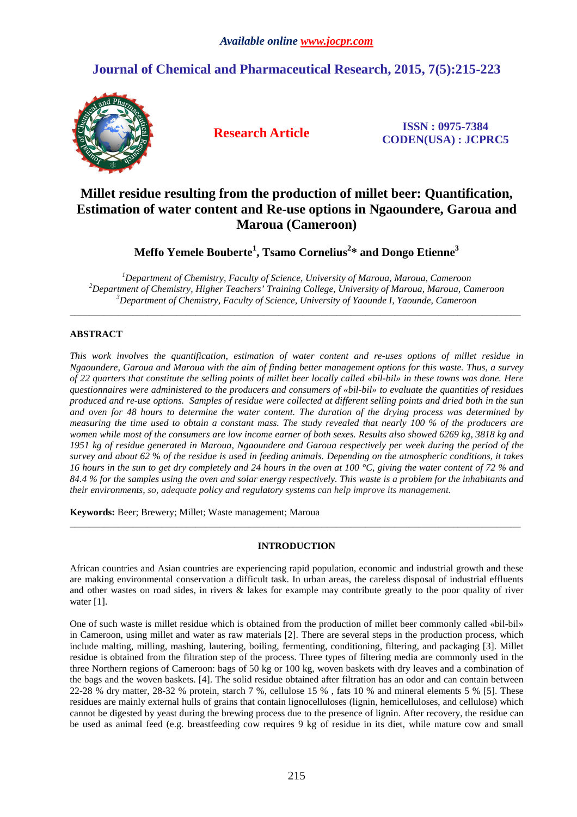# **Journal of Chemical and Pharmaceutical Research, 2015, 7(5):215-223**



**Research Article ISSN : 0975-7384 CODEN(USA) : JCPRC5**

# **Millet residue resulting from the production of millet beer: Quantification, Estimation of water content and Re-use options in Ngaoundere, Garoua and Maroua (Cameroon)**

**Meffo Yemele Bouberte<sup>1</sup> , Tsamo Cornelius<sup>2</sup> \* and Dongo Etienne<sup>3</sup>**

*<sup>1</sup>Department of Chemistry, Faculty of Science, University of Maroua, Maroua, Cameroon <sup>2</sup>Department of Chemistry, Higher Teachers' Training College, University of Maroua, Maroua, Cameroon <sup>3</sup>Department of Chemistry, Faculty of Science, University of Yaounde I, Yaounde, Cameroon* 

\_\_\_\_\_\_\_\_\_\_\_\_\_\_\_\_\_\_\_\_\_\_\_\_\_\_\_\_\_\_\_\_\_\_\_\_\_\_\_\_\_\_\_\_\_\_\_\_\_\_\_\_\_\_\_\_\_\_\_\_\_\_\_\_\_\_\_\_\_\_\_\_\_\_\_\_\_\_\_\_\_\_\_\_\_\_\_\_\_\_\_\_\_

# **ABSTRACT**

*This work involves the quantification, estimation of water content and re-uses options of millet residue in Ngaoundere, Garoua and Maroua with the aim of finding better management options for this waste. Thus, a survey of 22 quarters that constitute the selling points of millet beer locally called «bil-bil» in these towns was done. Here questionnaires were administered to the producers and consumers of «bil-bil» to evaluate the quantities of residues produced and re-use options. Samples of residue were collected at different selling points and dried both in the sun and oven for 48 hours to determine the water content. The duration of the drying process was determined by measuring the time used to obtain a constant mass. The study revealed that nearly 100 % of the producers are women while most of the consumers are low income earner of both sexes. Results also showed 6269 kg, 3818 kg and 1951 kg of residue generated in Maroua, Ngaoundere and Garoua respectively per week during the period of the survey and about 62* % *of the residue is used in feeding animals. Depending on the atmospheric conditions, it takes 16 hours in the sun to get dry completely and 24 hours in the oven at 100 °C, giving the water content of 72 % and 84.4 % for the samples using the oven and solar energy respectively. This waste is a problem for the inhabitants and their environments, so, adequate policy and regulatory systems can help improve its management.*

**Keywords:** Beer; Brewery; Millet; Waste management; Maroua

# **INTRODUCTION**

\_\_\_\_\_\_\_\_\_\_\_\_\_\_\_\_\_\_\_\_\_\_\_\_\_\_\_\_\_\_\_\_\_\_\_\_\_\_\_\_\_\_\_\_\_\_\_\_\_\_\_\_\_\_\_\_\_\_\_\_\_\_\_\_\_\_\_\_\_\_\_\_\_\_\_\_\_\_\_\_\_\_\_\_\_\_\_\_\_\_\_\_\_

African countries and Asian countries are experiencing rapid population, economic and industrial growth and these are making environmental conservation a difficult task. In urban areas, the careless disposal of industrial effluents and other wastes on road sides, in rivers & lakes for example may contribute greatly to the poor quality of river water [1].

One of such waste is millet residue which is obtained from the production of millet beer commonly called «bil-bil» in Cameroon, using millet and water as raw materials [2]. There are several steps in the production process, which include malting, milling, mashing, lautering, boiling, fermenting, conditioning, filtering, and packaging [3]. Millet residue is obtained from the filtration step of the process. Three types of filtering media are commonly used in the three Northern regions of Cameroon: bags of 50 kg or 100 kg, woven baskets with dry leaves and a combination of the bags and the woven baskets. [4]. The solid residue obtained after filtration has an odor and can contain between 22-28 % dry matter, 28-32 % protein, starch 7 %, cellulose 15 % , fats 10 % and mineral elements 5 % [5]. These residues are mainly external hulls of grains that contain lignocelluloses (lignin, hemicelluloses, and cellulose) which cannot be digested by yeast during the brewing process due to the presence of lignin. After recovery, the residue can be used as animal feed (e.g. breastfeeding cow requires 9 kg of residue in its diet, while mature cow and small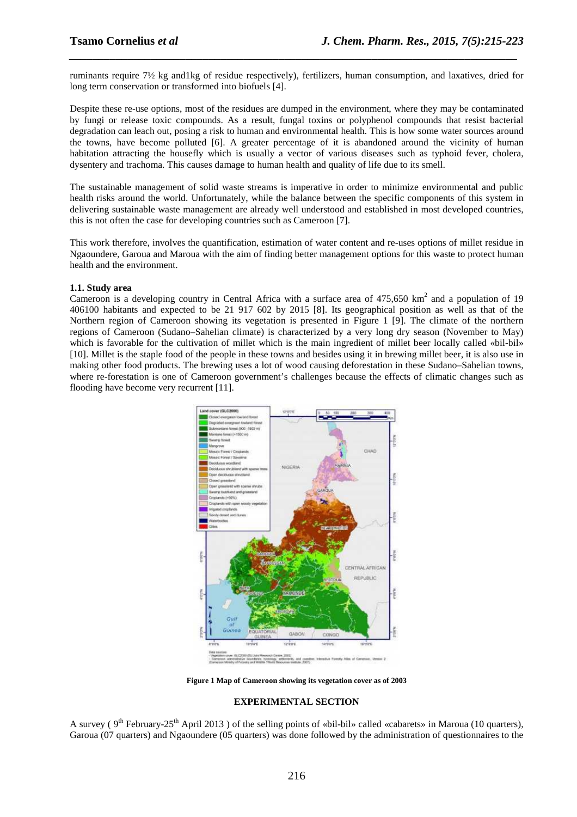ruminants require 7½ kg and1kg of residue respectively), fertilizers, human consumption, and laxatives, dried for long term conservation or transformed into biofuels [4].

*\_\_\_\_\_\_\_\_\_\_\_\_\_\_\_\_\_\_\_\_\_\_\_\_\_\_\_\_\_\_\_\_\_\_\_\_\_\_\_\_\_\_\_\_\_\_\_\_\_\_\_\_\_\_\_\_\_\_\_\_\_\_\_\_\_\_\_\_\_\_\_\_\_\_\_\_\_*

Despite these re-use options, most of the residues are dumped in the environment, where they may be contaminated by fungi or release toxic compounds. As a result, fungal toxins or polyphenol compounds that resist bacterial degradation can leach out, posing a risk to human and environmental health. This is how some water sources around the towns, have become polluted [6]. A greater percentage of it is abandoned around the vicinity of human habitation attracting the housefly which is usually a vector of various diseases such as typhoid fever, cholera, dysentery and trachoma. This causes damage to human health and quality of life due to its smell.

The sustainable management of solid waste streams is imperative in order to minimize environmental and public health risks around the world. Unfortunately, while the balance between the specific components of this system in delivering sustainable waste management are already well understood and established in most developed countries, this is not often the case for developing countries such as Cameroon [7].

This work therefore, involves the quantification, estimation of water content and re-uses options of millet residue in Ngaoundere, Garoua and Maroua with the aim of finding better management options for this waste to protect human health and the environment.

### **1.1. Study area**

Cameroon is a developing country in Central Africa with a surface area of  $475,650 \text{ km}^2$  and a population of 19 406100 habitants and expected to be 21 917 602 by 2015 [8]. Its geographical position as well as that of the Northern region of Cameroon showing its vegetation is presented in Figure 1 [9]. The climate of the northern regions of Cameroon (Sudano–Sahelian climate) is characterized by a very long dry season (November to May) which is favorable for the cultivation of millet which is the main ingredient of millet beer locally called «bil-bil» [10]. Millet is the staple food of the people in these towns and besides using it in brewing millet beer, it is also use in making other food products. The brewing uses a lot of wood causing deforestation in these Sudano–Sahelian towns, where re-forestation is one of Cameroon government's challenges because the effects of climatic changes such as flooding have become very recurrent [11].



**Figure 1 Map of Cameroon showing its vegetation cover as of 2003** 

#### **EXPERIMENTAL SECTION**

A survey ( $9<sup>th</sup>$  February-25<sup>th</sup> April 2013) of the selling points of «bil-bil» called «cabarets» in Maroua (10 quarters), Garoua (07 quarters) and Ngaoundere (05 quarters) was done followed by the administration of questionnaires to the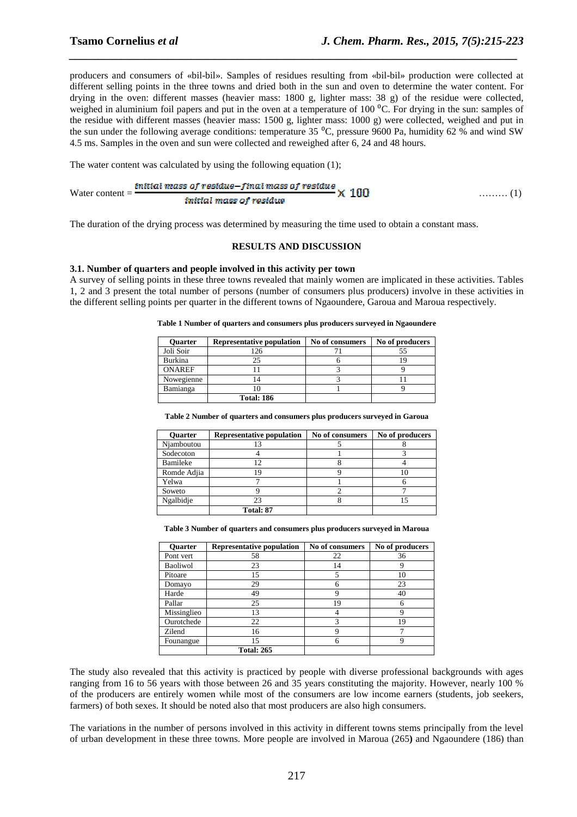producers and consumers of «bil-bil». Samples of residues resulting from «bil-bil» production were collected at different selling points in the three towns and dried both in the sun and oven to determine the water content. For drying in the oven: different masses (heavier mass: 1800 g, lighter mass: 38 g) of the residue were collected, weighed in aluminium foil papers and put in the oven at a temperature of 100  $^{\circ}$ C. For drying in the sun: samples of the residue with different masses (heavier mass: 1500 g, lighter mass: 1000 g) were collected, weighed and put in the sun under the following average conditions: temperature 35 <sup>o</sup>C, pressure 9600 Pa, humidity 62 % and wind SW 4.5 ms. Samples in the oven and sun were collected and reweighed after 6, 24 and 48 hours.

*\_\_\_\_\_\_\_\_\_\_\_\_\_\_\_\_\_\_\_\_\_\_\_\_\_\_\_\_\_\_\_\_\_\_\_\_\_\_\_\_\_\_\_\_\_\_\_\_\_\_\_\_\_\_\_\_\_\_\_\_\_\_\_\_\_\_\_\_\_\_\_\_\_\_\_\_\_*

The water content was calculated by using the following equation (1);

Water content = 
$$
\frac{initial mass of residue - final mass of residue}{initial mass of residue} \times 100
$$
 (1)

The duration of the drying process was determined by measuring the time used to obtain a constant mass.

#### **RESULTS AND DISCUSSION**

#### **3.1. Number of quarters and people involved in this activity per town**

A survey of selling points in these three towns revealed that mainly women are implicated in these activities. Tables 1, 2 and 3 present the total number of persons (number of consumers plus producers) involve in these activities in the different selling points per quarter in the different towns of Ngaoundere, Garoua and Maroua respectively.

| <b>Ouarter</b> | Representative population | No of consumers | No of producers |
|----------------|---------------------------|-----------------|-----------------|
| Joli Soir      | 126                       |                 |                 |
| <b>Burkina</b> | 25                        |                 |                 |
| <b>ONAREF</b>  |                           |                 |                 |
| Nowegienne     |                           |                 |                 |
| Bamianga       |                           |                 |                 |
|                | <b>Total: 186</b>         |                 |                 |

**Table 1 Number of quarters and consumers plus producers surveyed in Ngaoundere** 

**Table 2 Number of quarters and consumers plus producers surveyed in Garoua** 

| <b>Ouarter</b> | <b>Representative population</b> | No of consumers | No of producers |
|----------------|----------------------------------|-----------------|-----------------|
| Njamboutou     |                                  |                 |                 |
| Sodecoton      |                                  |                 |                 |
| Bamileke       |                                  |                 |                 |
| Romde Adjia    |                                  |                 |                 |
| Yelwa          |                                  |                 |                 |
| Soweto         |                                  |                 |                 |
| Ngalbidje      | 23                               |                 |                 |
|                | Total: 87                        |                 |                 |

**Table 3 Number of quarters and consumers plus producers surveyed in Maroua** 

| <b>Ouarter</b> | <b>Representative population</b> | No of consumers | No of producers |
|----------------|----------------------------------|-----------------|-----------------|
| Pont vert      | 58                               | 22              | 36              |
| Baoliwol       | 23                               | 14              | 9               |
| Pitoare        | 15                               |                 | 10              |
| Domayo         | 29                               | 6               | 23              |
| Harde          | 49                               | Q               | 40              |
| Pallar         | 25                               | 19              | 6               |
| Missinglieo    | 13                               |                 | Q               |
| Ourotchede     | 22                               | 3               | 19              |
| Zilend         | 16                               | 9               |                 |
| Founangue      | 15                               | 6               | $\mathbf Q$     |
|                | <b>Total: 265</b>                |                 |                 |

The study also revealed that this activity is practiced by people with diverse professional backgrounds with ages ranging from 16 to 56 years with those between 26 and 35 years constituting the majority. However, nearly 100 % of the producers are entirely women while most of the consumers are low income earners (students, job seekers, farmers) of both sexes. It should be noted also that most producers are also high consumers.

The variations in the number of persons involved in this activity in different towns stems principally from the level of urban development in these three towns. More people are involved in Maroua (265**)** and Ngaoundere (186) than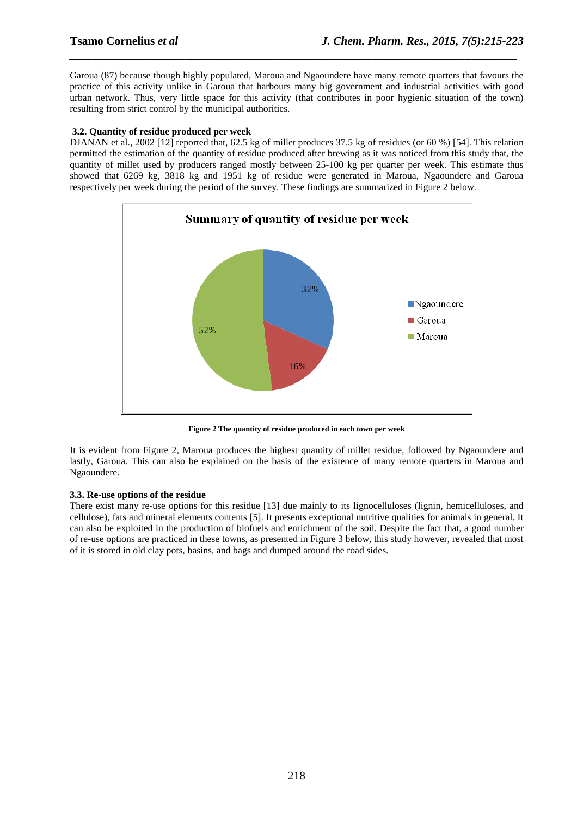Garoua (87) because though highly populated, Maroua and Ngaoundere have many remote quarters that favours the practice of this activity unlike in Garoua that harbours many big government and industrial activities with good urban network. Thus, very little space for this activity (that contributes in poor hygienic situation of the town) resulting from strict control by the municipal authorities.

*\_\_\_\_\_\_\_\_\_\_\_\_\_\_\_\_\_\_\_\_\_\_\_\_\_\_\_\_\_\_\_\_\_\_\_\_\_\_\_\_\_\_\_\_\_\_\_\_\_\_\_\_\_\_\_\_\_\_\_\_\_\_\_\_\_\_\_\_\_\_\_\_\_\_\_\_\_*

# **3.2. Quantity of residue produced per week**

DJANAN et al., 2002 [12] reported that, 62.5 kg of millet produces 37.5 kg of residues (or 60 %) [54]. This relation permitted the estimation of the quantity of residue produced after brewing as it was noticed from this study that, the quantity of millet used by producers ranged mostly between 25-100 kg per quarter per week. This estimate thus showed that 6269 kg, 3818 kg and 1951 kg of residue were generated in Maroua, Ngaoundere and Garoua respectively per week during the period of the survey. These findings are summarized in Figure 2 below.



**Figure 2 The quantity of residue produced in each town per week** 

It is evident from Figure 2, Maroua produces the highest quantity of millet residue, followed by Ngaoundere and lastly, Garoua. This can also be explained on the basis of the existence of many remote quarters in Maroua and Ngaoundere.

# **3.3. Re-use options of the residue**

There exist many re-use options for this residue [13] due mainly to its lignocelluloses (lignin, hemicelluloses, and cellulose), fats and mineral elements contents [5]. It presents exceptional nutritive qualities for animals in general. It can also be exploited in the production of biofuels and enrichment of the soil. Despite the fact that, a good number of re-use options are practiced in these towns, as presented in Figure 3 below, this study however, revealed that most of it is stored in old clay pots, basins, and bags and dumped around the road sides.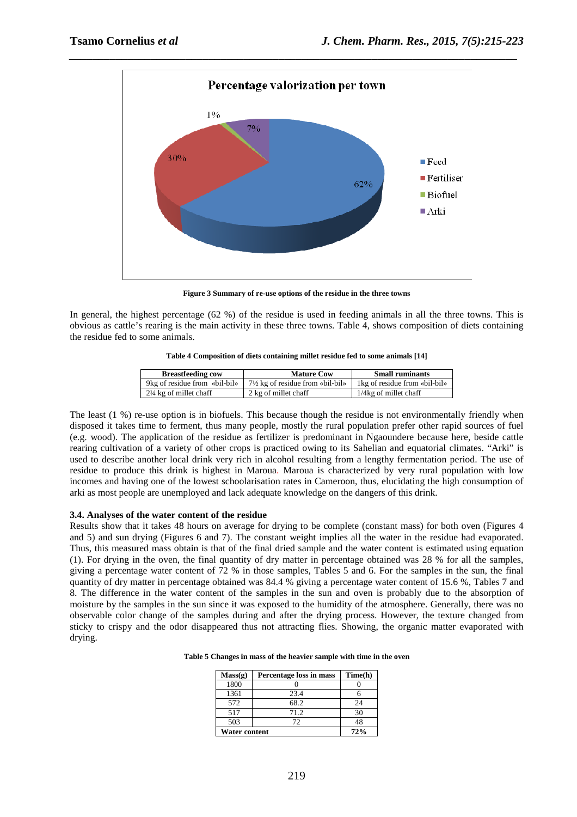

*\_\_\_\_\_\_\_\_\_\_\_\_\_\_\_\_\_\_\_\_\_\_\_\_\_\_\_\_\_\_\_\_\_\_\_\_\_\_\_\_\_\_\_\_\_\_\_\_\_\_\_\_\_\_\_\_\_\_\_\_\_\_\_\_\_\_\_\_\_\_\_\_\_\_\_\_\_*

**Figure 3 Summary of re-use options of the residue in the three towns** 

In general, the highest percentage (62 %) of the residue is used in feeding animals in all the three towns. This is obvious as cattle's rearing is the main activity in these three towns. Table 4, shows composition of diets containing the residue fed to some animals.

|  |  |  |  |  | Table 4 Composition of diets containing millet residue fed to some animals [14] |
|--|--|--|--|--|---------------------------------------------------------------------------------|
|--|--|--|--|--|---------------------------------------------------------------------------------|

| <b>Breastfeeding cow</b>          | <b>Mature Cow</b>                           | <b>Small ruminants</b>         |
|-----------------------------------|---------------------------------------------|--------------------------------|
| 9kg of residue from «bil-bil»     | $7\frac{1}{2}$ kg of residue from «bil-bil» | 1 kg of residue from «bil-bil» |
| $2\frac{1}{4}$ kg of millet chaff | 2 kg of millet chaff                        | $1/4$ kg of millet chaff       |

The least (1 %) re-use option is in biofuels. This because though the residue is not environmentally friendly when disposed it takes time to ferment, thus many people, mostly the rural population prefer other rapid sources of fuel (e.g. wood). The application of the residue as fertilizer is predominant in Ngaoundere because here, beside cattle rearing cultivation of a variety of other crops is practiced owing to its Sahelian and equatorial climates. "Arki" is used to describe another local drink very rich in alcohol resulting from a lengthy fermentation period. The use of residue to produce this drink is highest in Maroua. Maroua is characterized by very rural population with low incomes and having one of the lowest schoolarisation rates in Cameroon, thus, elucidating the high consumption of arki as most people are unemployed and lack adequate knowledge on the dangers of this drink.

# **3.4. Analyses of the water content of the residue**

Results show that it takes 48 hours on average for drying to be complete (constant mass) for both oven (Figures 4 and 5) and sun drying (Figures 6 and 7). The constant weight implies all the water in the residue had evaporated. Thus, this measured mass obtain is that of the final dried sample and the water content is estimated using equation (1). For drying in the oven, the final quantity of dry matter in percentage obtained was 28 % for all the samples, giving a percentage water content of 72 % in those samples, Tables 5 and 6. For the samples in the sun, the final quantity of dry matter in percentage obtained was 84.4 % giving a percentage water content of 15.6 %, Tables 7 and 8. The difference in the water content of the samples in the sun and oven is probably due to the absorption of moisture by the samples in the sun since it was exposed to the humidity of the atmosphere. Generally, there was no observable color change of the samples during and after the drying process. However, the texture changed from sticky to crispy and the odor disappeared thus not attracting flies. Showing, the organic matter evaporated with drying.

| Mass(g)              | Percentage loss in mass | Time(h) |
|----------------------|-------------------------|---------|
| 1800                 |                         |         |
| 1361                 | 23.4                    |         |
| 572                  | 68.2                    | 24      |
| 517                  | 71.2                    | 30      |
| 503                  | 72                      | 48      |
| <b>Water content</b> |                         | 72%     |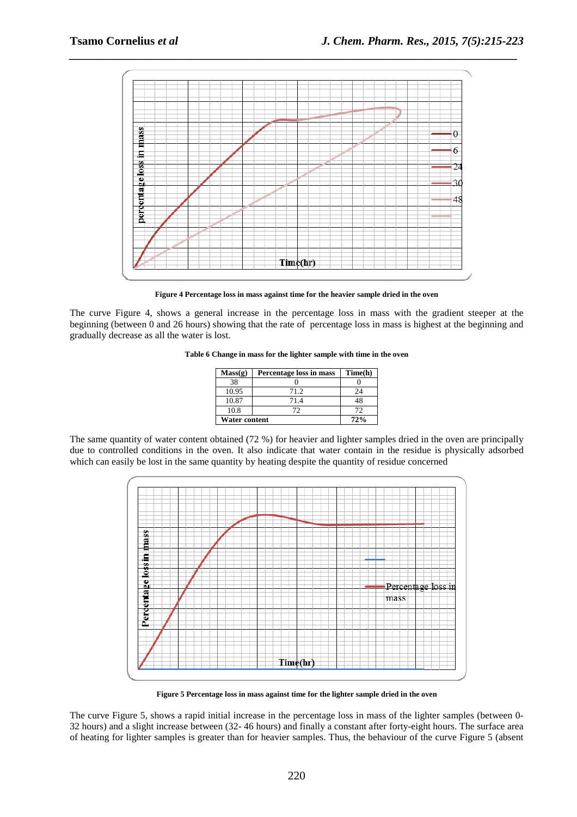

*\_\_\_\_\_\_\_\_\_\_\_\_\_\_\_\_\_\_\_\_\_\_\_\_\_\_\_\_\_\_\_\_\_\_\_\_\_\_\_\_\_\_\_\_\_\_\_\_\_\_\_\_\_\_\_\_\_\_\_\_\_\_\_\_\_\_\_\_\_\_\_\_\_\_\_\_\_*

**Figure 4 Percentage loss in mass against time for the heavier sample dried in the oven** 

The curve Figure 4, shows a general increase in the percentage loss in mass with the gradient steeper at the beginning (between 0 and 26 hours) showing that the rate of percentage loss in mass is highest at the beginning and gradually decrease as all the water is lost.

**Table 6 Change in mass for the lighter sample with time in the oven** 

| Mass(g)              | Percentage loss in mass | Time(h) |
|----------------------|-------------------------|---------|
| 38                   |                         |         |
| 10.95                | 71.2                    | 24      |
| 10.87                | 714                     | 48      |
| 10.8                 | רז                      | 72      |
| <b>Water content</b> |                         | 72%     |

The same quantity of water content obtained (72 %) for heavier and lighter samples dried in the oven are principally due to controlled conditions in the oven. It also indicate that water contain in the residue is physically adsorbed which can easily be lost in the same quantity by heating despite the quantity of residue concerned



**Figure 5 Percentage loss in mass against time for the lighter sample dried in the oven** 

The curve Figure 5, shows a rapid initial increase in the percentage loss in mass of the lighter samples (between 0- 32 hours) and a slight increase between (32- 46 hours) and finally a constant after forty-eight hours. The surface area of heating for lighter samples is greater than for heavier samples. Thus, the behaviour of the curve Figure 5 (absent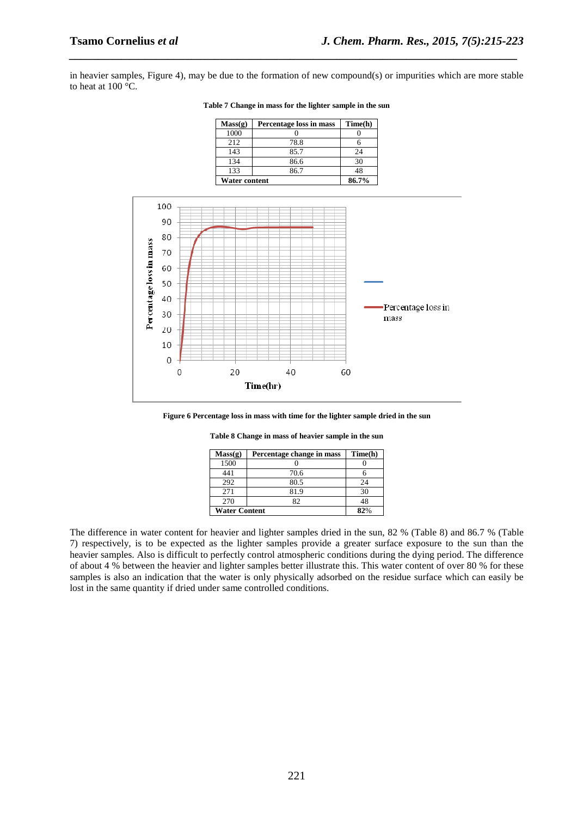in heavier samples, Figure 4), may be due to the formation of new compound(s) or impurities which are more stable to heat at 100 °C.

*\_\_\_\_\_\_\_\_\_\_\_\_\_\_\_\_\_\_\_\_\_\_\_\_\_\_\_\_\_\_\_\_\_\_\_\_\_\_\_\_\_\_\_\_\_\_\_\_\_\_\_\_\_\_\_\_\_\_\_\_\_\_\_\_\_\_\_\_\_\_\_\_\_\_\_\_\_*

| Mass(g)              | Percentage loss in mass | Time(h) |
|----------------------|-------------------------|---------|
| 1000                 |                         |         |
| 2.12                 | 78.8                    |         |
| 143                  | 85.7                    | 24      |
| 134                  | 86.6                    | 30      |
| 133                  | 86.7                    | 48      |
| <b>Water content</b> |                         | 86.7%   |

**Table 7 Change in mass for the lighter sample in the sun** 



**Figure 6 Percentage loss in mass with time for the lighter sample dried in the sun** 

| Mass(g)              | Percentage change in mass | Time(h) |
|----------------------|---------------------------|---------|
| 1500                 |                           |         |
| 441                  | 70.6                      |         |
| 292                  | 80.5                      | 24      |
| 2.71                 | 81.9                      | 30      |
| 270                  | 82                        | 48      |
| <b>Water Content</b> |                           | 82%     |

**Table 8 Change in mass of heavier sample in the sun**

The difference in water content for heavier and lighter samples dried in the sun, 82 % (Table 8) and 86.7 % (Table 7) respectively, is to be expected as the lighter samples provide a greater surface exposure to the sun than the heavier samples. Also is difficult to perfectly control atmospheric conditions during the dying period. The difference of about 4 % between the heavier and lighter samples better illustrate this. This water content of over 80 % for these samples is also an indication that the water is only physically adsorbed on the residue surface which can easily be lost in the same quantity if dried under same controlled conditions.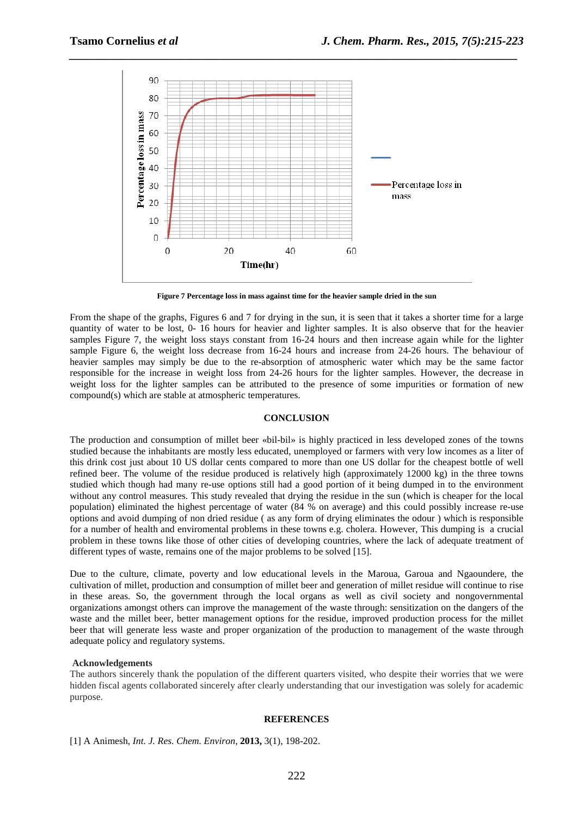

*\_\_\_\_\_\_\_\_\_\_\_\_\_\_\_\_\_\_\_\_\_\_\_\_\_\_\_\_\_\_\_\_\_\_\_\_\_\_\_\_\_\_\_\_\_\_\_\_\_\_\_\_\_\_\_\_\_\_\_\_\_\_\_\_\_\_\_\_\_\_\_\_\_\_\_\_\_*

**Figure 7 Percentage loss in mass against time for the heavier sample dried in the sun** 

From the shape of the graphs, Figures 6 and 7 for drying in the sun, it is seen that it takes a shorter time for a large quantity of water to be lost, 0- 16 hours for heavier and lighter samples. It is also observe that for the heavier samples Figure 7, the weight loss stays constant from 16-24 hours and then increase again while for the lighter sample Figure 6, the weight loss decrease from 16-24 hours and increase from 24-26 hours. The behaviour of heavier samples may simply be due to the re-absorption of atmospheric water which may be the same factor responsible for the increase in weight loss from 24-26 hours for the lighter samples. However, the decrease in weight loss for the lighter samples can be attributed to the presence of some impurities or formation of new compound(s) which are stable at atmospheric temperatures.

# **CONCLUSION**

The production and consumption of millet beer «bil-bil» is highly practiced in less developed zones of the towns studied because the inhabitants are mostly less educated, unemployed or farmers with very low incomes as a liter of this drink cost just about 10 US dollar cents compared to more than one US dollar for the cheapest bottle of well refined beer. The volume of the residue produced is relatively high (approximately 12000 kg) in the three towns studied which though had many re-use options still had a good portion of it being dumped in to the environment without any control measures. This study revealed that drying the residue in the sun (which is cheaper for the local population) eliminated the highest percentage of water (84 % on average) and this could possibly increase re-use options and avoid dumping of non dried residue ( as any form of drying eliminates the odour ) which is responsible for a number of health and enviromental problems in these towns e.g. cholera. However, This dumping is a crucial problem in these towns like those of other cities of developing countries, where the lack of adequate treatment of different types of waste, remains one of the major problems to be solved [15].

Due to the culture, climate, poverty and low educational levels in the Maroua, Garoua and Ngaoundere, the cultivation of millet, production and consumption of millet beer and generation of millet residue will continue to rise in these areas. So, the government through the local organs as well as civil society and nongovernmental organizations amongst others can improve the management of the waste through: sensitization on the dangers of the waste and the millet beer, better management options for the residue, improved production process for the millet beer that will generate less waste and proper organization of the production to management of the waste through adequate policy and regulatory systems.

### **Acknowledgements**

The authors sincerely thank the population of the different quarters visited, who despite their worries that we were hidden fiscal agents collaborated sincerely after clearly understanding that our investigation was solely for academic purpose.

#### **REFERENCES**

[1] A Animesh, *Int. J. Res. Chem. Environ*, **2013,** 3(1), 198-202.